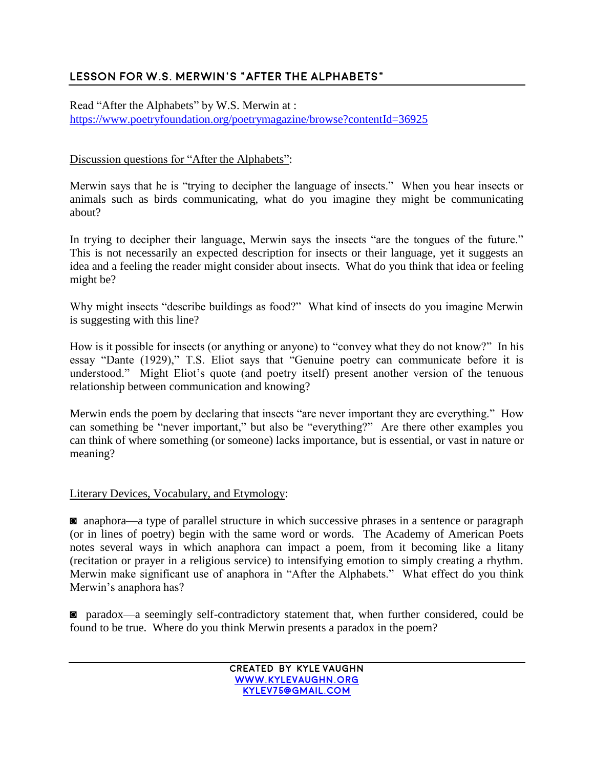# **Lesson for W.S. Merwin's "After the alphabets"**

Read "After the Alphabets" by W.S. Merwin at : <https://www.poetryfoundation.org/poetrymagazine/browse?contentId=36925>

## Discussion questions for "After the Alphabets":

Merwin says that he is "trying to decipher the language of insects." When you hear insects or animals such as birds communicating, what do you imagine they might be communicating about?

In trying to decipher their language, Merwin says the insects "are the tongues of the future." This is not necessarily an expected description for insects or their language, yet it suggests an idea and a feeling the reader might consider about insects. What do you think that idea or feeling might be?

Why might insects "describe buildings as food?" What kind of insects do you imagine Merwin is suggesting with this line?

How is it possible for insects (or anything or anyone) to "convey what they do not know?" In his essay "Dante (1929)," T.S. Eliot says that "Genuine poetry can communicate before it is understood." Might Eliot's quote (and poetry itself) present another version of the tenuous relationship between communication and knowing?

Merwin ends the poem by declaring that insects "are never important they are everything." How can something be "never important," but also be "everything?" Are there other examples you can think of where something (or someone) lacks importance, but is essential, or vast in nature or meaning?

#### Literary Devices, Vocabulary, and Etymology:

◙ anaphora—a type of parallel structure in which successive phrases in a sentence or paragraph (or in lines of poetry) begin with the same word or words. The Academy of American Poets notes several ways in which anaphora can impact a poem, from it becoming like a litany (recitation or prayer in a religious service) to intensifying emotion to simply creating a rhythm. Merwin make significant use of anaphora in "After the Alphabets." What effect do you think Merwin's anaphora has?

◙ paradox—a seemingly self-contradictory statement that, when further considered, could be found to be true. Where do you think Merwin presents a paradox in the poem?

> **created by kyle Vaughn [www.kylevaughn.org](http://www.kylevaughn.org/) [kylev75@gmail.com](mailto:kylev75@gmail.com)**